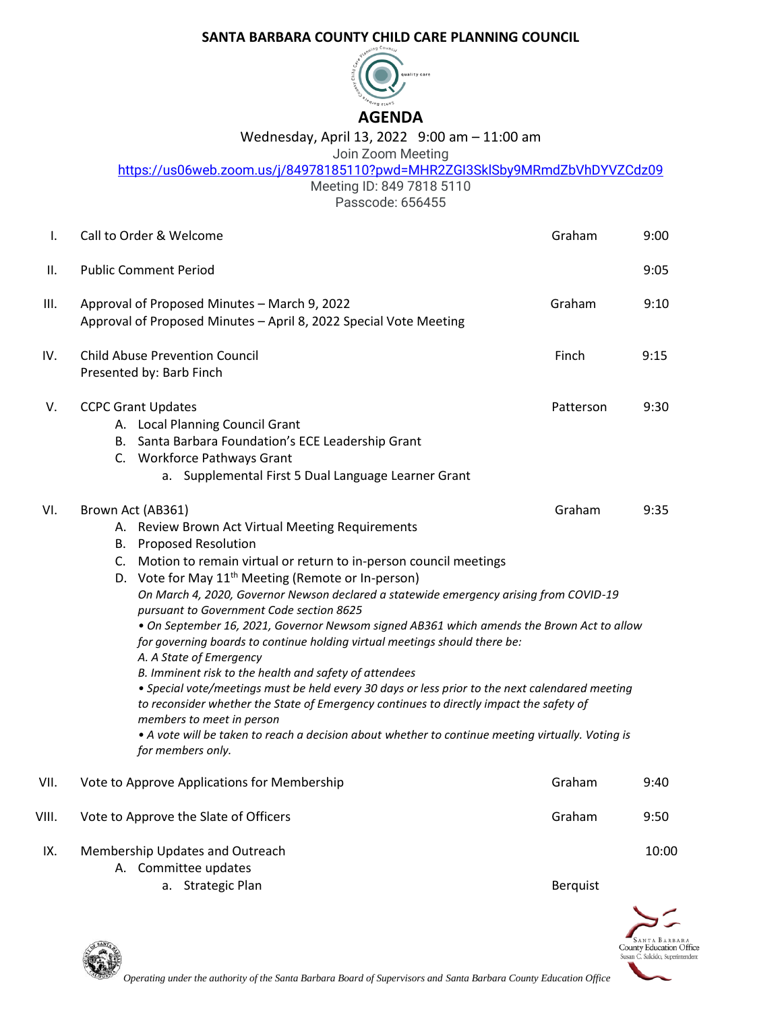## **SANTA BARBARA COUNTY CHILD CARE PLANNING COUNCIL**



## Wednesday, April 13, 2022 9:00 am – 11:00 am

## Join Zoom Meeting

<https://us06web.zoom.us/j/84978185110?pwd=MHR2ZGI3SklSby9MRmdZbVhDYVZCdz09>

Meeting ID: 849 7818 5110 Passcode: 656455

| Τ.    | Call to Order & Welcome                                                                                                                                                                                                                                                                                                                                                                                                                                                                                                                                                                                                                                                                                                                                                                                                                                                                                                                                                                                    | Graham          | 9:00  |
|-------|------------------------------------------------------------------------------------------------------------------------------------------------------------------------------------------------------------------------------------------------------------------------------------------------------------------------------------------------------------------------------------------------------------------------------------------------------------------------------------------------------------------------------------------------------------------------------------------------------------------------------------------------------------------------------------------------------------------------------------------------------------------------------------------------------------------------------------------------------------------------------------------------------------------------------------------------------------------------------------------------------------|-----------------|-------|
| Ш.    | <b>Public Comment Period</b>                                                                                                                                                                                                                                                                                                                                                                                                                                                                                                                                                                                                                                                                                                                                                                                                                                                                                                                                                                               |                 | 9:05  |
| III.  | Approval of Proposed Minutes - March 9, 2022<br>Approval of Proposed Minutes - April 8, 2022 Special Vote Meeting                                                                                                                                                                                                                                                                                                                                                                                                                                                                                                                                                                                                                                                                                                                                                                                                                                                                                          | Graham          | 9:10  |
| IV.   | <b>Child Abuse Prevention Council</b><br>Presented by: Barb Finch                                                                                                                                                                                                                                                                                                                                                                                                                                                                                                                                                                                                                                                                                                                                                                                                                                                                                                                                          | Finch           | 9:15  |
| V.    | <b>CCPC Grant Updates</b><br>A. Local Planning Council Grant<br>B. Santa Barbara Foundation's ECE Leadership Grant<br>C. Workforce Pathways Grant<br>a. Supplemental First 5 Dual Language Learner Grant                                                                                                                                                                                                                                                                                                                                                                                                                                                                                                                                                                                                                                                                                                                                                                                                   | Patterson       | 9:30  |
| VI.   | Brown Act (AB361)<br>A. Review Brown Act Virtual Meeting Requirements<br><b>B.</b> Proposed Resolution<br>C. Motion to remain virtual or return to in-person council meetings<br>D. Vote for May 11 <sup>th</sup> Meeting (Remote or In-person)<br>On March 4, 2020, Governor Newson declared a statewide emergency arising from COVID-19<br>pursuant to Government Code section 8625<br>. On September 16, 2021, Governor Newsom signed AB361 which amends the Brown Act to allow<br>for governing boards to continue holding virtual meetings should there be:<br>A. A State of Emergency<br>B. Imminent risk to the health and safety of attendees<br>. Special vote/meetings must be held every 30 days or less prior to the next calendared meeting<br>to reconsider whether the State of Emergency continues to directly impact the safety of<br>members to meet in person<br>. A vote will be taken to reach a decision about whether to continue meeting virtually. Voting is<br>for members only. | Graham          | 9:35  |
| VII.  | Vote to Approve Applications for Membership                                                                                                                                                                                                                                                                                                                                                                                                                                                                                                                                                                                                                                                                                                                                                                                                                                                                                                                                                                | Graham          | 9:40  |
| VIII. | Vote to Approve the Slate of Officers                                                                                                                                                                                                                                                                                                                                                                                                                                                                                                                                                                                                                                                                                                                                                                                                                                                                                                                                                                      | Graham          | 9:50  |
| IX.   | Membership Updates and Outreach<br>A. Committee updates<br>a. Strategic Plan                                                                                                                                                                                                                                                                                                                                                                                                                                                                                                                                                                                                                                                                                                                                                                                                                                                                                                                               | <b>Berquist</b> | 10:00 |